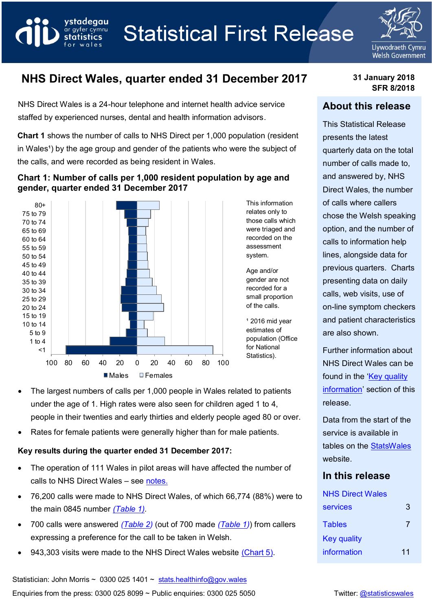



# **NHS Direct Wales, quarter ended 31 December 2017 31 January 2018**

NHS Direct Wales is a 24-hour telephone and internet health advice service staffed by experienced nurses, dental and health information advisors.

vstadeaau

ar gyfer cymru statistics

**Chart 1** shows the number of calls to NHS Direct per 1,000 population (resident in Wales<sup>1</sup>) by the age group and gender of the patients who were the subject of the calls, and were recorded as being resident in Wales.

#### **Chart 1: Number of calls per 1,000 resident population by age and gender, quarter ended 31 December 2017**



- The largest numbers of calls per 1,000 people in Wales related to patients under the age of 1. High rates were also seen for children aged 1 to 4, people in their twenties and early thirties and elderly people aged 80 or over.
- Rates for female patients were generally higher than for male patients.

## **Key results during the quarter ended 31 December 2017:**

- The operation of 111 Wales in pilot areas will have affected the number of calls to NHS Direct Wales – see [notes.](#page-11-0)
- 76,200 calls were made to NHS Direct Wales, of which 66,774 (88%) were to the main 0845 number *(Table 1).*
- 700 calls were answered *[\(Table 2\)](#page-7-0)* (out of 700 made *[\(Table 1\)](#page-5-0)*) from callers expressing a preference for the call to be taken in Welsh.
- 943,303 visits were made to the NHS Direct Wales website (Chart 5).

# **SFR 8/2018**

## **About this release**

This Statistical Release presents the latest quarterly data on the total number of calls made to, and answered by, NHS Direct Wales, the number of calls where callers chose the Welsh speaking option, and the number of calls to information help lines, alongside data for previous quarters. Charts presenting data on daily calls, web visits, use of on-line symptom checkers and patient characteristics are also shown.

Further information about NHS Direct Wales can be found in the 'Key quality' [information](#page-9-0)' section of this release.

Data from the start of the service is available in tables on the [StatsWales](https://statswales.gov.wales/Catalogue/Health-and-Social-Care/NHS-Primary-and-Community-Activity/NHS-Direct-Wales) website.

## **In this release**

| <b>NHS Direct Wales</b> |    |
|-------------------------|----|
| <b>services</b>         | 3  |
| <b>Tables</b>           | 7  |
| <b>Key quality</b>      |    |
| information             | 11 |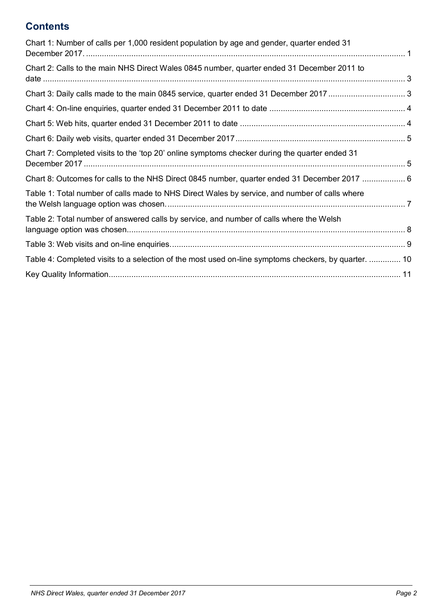# **Contents**

<span id="page-1-0"></span>

| Chart 1: Number of calls per 1,000 resident population by age and gender, quarter ended 31           |  |
|------------------------------------------------------------------------------------------------------|--|
| Chart 2: Calls to the main NHS Direct Wales 0845 number, quarter ended 31 December 2011 to           |  |
|                                                                                                      |  |
|                                                                                                      |  |
|                                                                                                      |  |
|                                                                                                      |  |
| Chart 7: Completed visits to the 'top 20' online symptoms checker during the quarter ended 31        |  |
| Chart 8: Outcomes for calls to the NHS Direct 0845 number, quarter ended 31 December 2017  6         |  |
| Table 1: Total number of calls made to NHS Direct Wales by service, and number of calls where        |  |
| Table 2: Total number of answered calls by service, and number of calls where the Welsh              |  |
|                                                                                                      |  |
| Table 4: Completed visits to a selection of the most used on-line symptoms checkers, by quarter.  10 |  |
|                                                                                                      |  |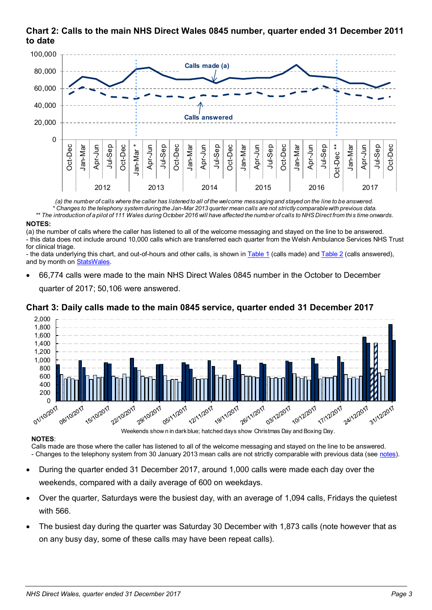## **Chart 2: Calls to the main NHS Direct Wales 0845 number, quarter ended 31 December 2011 to date**



*(a) the number of calls where the caller has listened to all of the welcome messaging and stayed on the line to be answered. \* Changes to the telephony system during the Jan-Mar 2013 quarter mean calls are not strictly comparable with previous data.*

*\*\* The introduction of a pilot of 111 Wales during October 2016 will have affected the number of calls to NHS Direct from thi s time onwards.*

#### **NOTES:**

(a) the number of calls where the caller has listened to all of the welcome messaging and stayed on the line to be answered. - this data does not include around 10,000 calls which are transferred each quarter from the Welsh Ambulance Services NHS Trust for clinical triage.

- the data underlying this chart, and out-of-hours and other calls, is shown in [Table](#page-5-0) 1 (calls made) an[d Table 2](#page-7-0) (calls answered), and by month o[n StatsWales.](https://statswales.gov.wales/Catalogue/Health-and-Social-Care/NHS-Primary-and-Community-Activity/NHS-Direct-Wales/CallsMadeToNHSDirectWales-by-Service-Month)

 66,774 calls were made to the main NHS Direct Wales 0845 number in the October to December quarter of 2017; 50,106 were answered.

#### <span id="page-2-0"></span>**Chart 3: Daily calls made to the main 0845 service, quarter ended 31 December 2017**



#### **NOTES**:

Calls made are those where the caller has listened to all of the welcome messaging and stayed on the line to be answered. - Changes to the telephony system from 30 January 2013 mean calls are not strictly comparable with previous data (see notes).

- During the quarter ended 31 December 2017, around 1,000 calls were made each day over the weekends, compared with a daily average of 600 on weekdays.
- Over the quarter, Saturdays were the busiest day, with an average of 1,094 calls, Fridays the quietest with 566.
- The busiest day during the quarter was Saturday 30 December with 1,873 calls (note however that as on any busy day, some of these calls may have been repeat calls).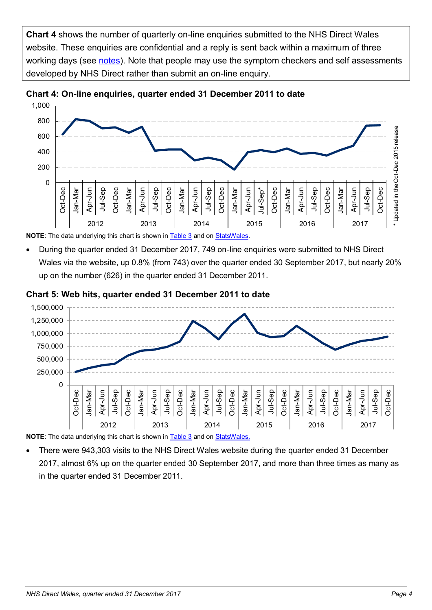**Chart 4** shows the number of quarterly on-line enquiries submitted to the NHS Direct Wales website. These enquiries are confidential and a reply is sent back within a maximum of three working days (see [notes\)](#page-12-0). Note that people may use the symptom checkers and self assessments developed by NHS Direct rather than submit an on-line enquiry.



<span id="page-3-0"></span>

**NOTE**: The data underlying this chart is shown in [Table 3](#page-8-0) and o[n StatsWales.](https://statswales.gov.wales/Catalogue/Health-and-Social-Care/NHS-Primary-and-Community-Activity/NHS-Direct-Wales/WebVisitsAndOnlineEnquiries-by-Quarter)

 During the quarter ended 31 December 2017, 749 on-line enquiries were submitted to NHS Direct Wales via the website, up 0.8% (from 743) over the quarter ended 30 September 2017, but nearly 20% up on the number (626) in the quarter ended 31 December 2011.

#### <span id="page-3-1"></span>**Chart 5: Web hits, quarter ended 31 December 2011 to date**



**NOTE**: The data underlying this chart is shown in [Table 3](#page-8-0) and o[n StatsWales.](https://statswales.gov.wales/Catalogue/Health-and-Social-Care/NHS-Primary-and-Community-Activity/NHS-Direct-Wales/WebVisitsAndOnlineEnquiries-by-Quarter)

 There were 943,303 visits to the NHS Direct Wales website during the quarter ended 31 December 2017, almost 6% up on the quarter ended 30 September 2017, and more than three times as many as in the quarter ended 31 December 2011.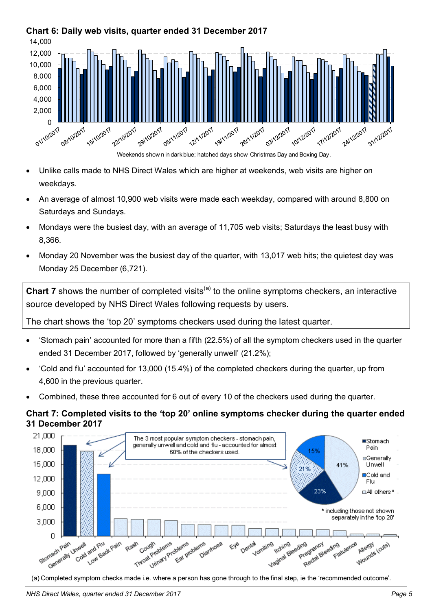

## <span id="page-4-0"></span>**Chart 6: Daily web visits, quarter ended 31 December 2017**

- Unlike calls made to NHS Direct Wales which are higher at weekends, web visits are higher on weekdays.
- An average of almost 10,900 web visits were made each weekday, compared with around 8,800 on Saturdays and Sundays.
- Mondays were the busiest day, with an average of 11,705 web visits; Saturdays the least busy with 8,366.
- Monday 20 November was the busiest day of the quarter, with 13,017 web hits; the quietest day was Monday 25 December (6,721).

**Chart 7** shows the number of completed visits<sup>(a)</sup> to the online symptoms checkers, an interactive source developed by NHS Direct Wales following requests by users.

The chart shows the 'top 20' symptoms checkers used during the latest quarter.

- 'Stomach pain' accounted for more than a fifth (22.5%) of all the symptom checkers used in the quarter ended 31 December 2017, followed by 'generally unwell' (21.2%);
- 'Cold and flu' accounted for 13,000 (15.4%) of the completed checkers during the quarter, up from 4,600 in the previous quarter.
- Combined, these three accounted for 6 out of every 10 of the checkers used during the quarter.

## <span id="page-4-1"></span>**Chart 7: Completed visits to the 'top 20' online symptoms checker during the quarter ended 31 December 2017**

![](_page_4_Figure_13.jpeg)

(a) Completed symptom checks made i.e. where a person has gone through to the final step, ie the 'recommended outcome'.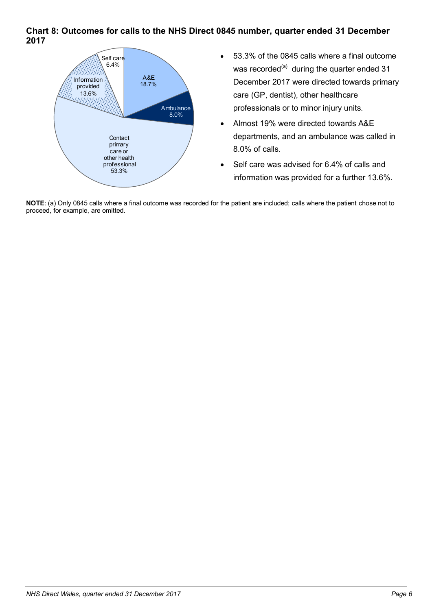#### <span id="page-5-1"></span>**Chart 8: Outcomes for calls to the NHS Direct 0845 number, quarter ended 31 December 2017**

![](_page_5_Figure_1.jpeg)

- 53.3% of the 0845 calls where a final outcome was recorded<sup>(a)</sup> during the quarter ended 31 December 2017 were directed towards primary care (GP, dentist), other healthcare professionals or to minor injury units.
- Almost 19% were directed towards A&E departments, and an ambulance was called in 8.0% of calls.
- Self care was advised for 6.4% of calls and information was provided for a further 13.6%.

<span id="page-5-0"></span>**NOTE**: (a) Only 0845 calls where a final outcome was recorded for the patient are included; calls where the patient chose not to proceed, for example, are omitted.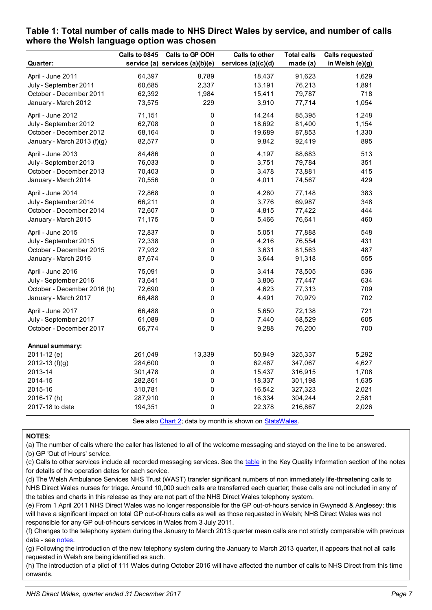|                             | Calls to 0845 | Calls to GP OOH                | <b>Calls to other</b> | <b>Total calls</b> | <b>Calls requested</b> |
|-----------------------------|---------------|--------------------------------|-----------------------|--------------------|------------------------|
| Quarter:                    |               | service (a) services (a)(b)(e) | services (a)(c)(d)    | made (a)           | in Welsh (e)(g)        |
| April - June 2011           | 64,397        | 8,789                          | 18,437                | 91,623             | 1,629                  |
| July - September 2011       | 60,685        | 2,337                          | 13,191                | 76,213             | 1,891                  |
| October - December 2011     | 62,392        | 1,984                          | 15,411                | 79,787             | 718                    |
| January - March 2012        | 73,575        | 229                            | 3,910                 | 77,714             | 1,054                  |
| April - June 2012           | 71,151        | 0                              | 14,244                | 85,395             | 1,248                  |
| July - September 2012       | 62,708        | 0                              | 18,692                | 81,400             | 1,154                  |
| October - December 2012     | 68,164        | 0                              | 19,689                | 87,853             | 1,330                  |
| January - March 2013 (f)(g) | 82,577        | 0                              | 9,842                 | 92,419             | 895                    |
| April - June 2013           | 84,486        | 0                              | 4,197                 | 88,683             | 513                    |
| July - September 2013       | 76,033        | 0                              | 3,751                 | 79,784             | 351                    |
| October - December 2013     | 70,403        | 0                              | 3,478                 | 73,881             | 415                    |
| January - March 2014        | 70,556        | 0                              | 4,011                 | 74,567             | 429                    |
| April - June 2014           | 72,868        | $\pmb{0}$                      | 4,280                 | 77,148             | 383                    |
| July - September 2014       | 66,211        | 0                              | 3,776                 | 69,987             | 348                    |
| October - December 2014     | 72,607        | 0                              | 4,815                 | 77,422             | 444                    |
| January - March 2015        | 71,175        | 0                              | 5,466                 | 76,641             | 460                    |
| April - June 2015           | 72,837        | $\pmb{0}$                      | 5,051                 | 77,888             | 548                    |
| July - September 2015       | 72,338        | 0                              | 4,216                 | 76,554             | 431                    |
| October - December 2015     | 77,932        | 0                              | 3,631                 | 81,563             | 487                    |
| January - March 2016        | 87,674        | 0                              | 3,644                 | 91,318             | 555                    |
| April - June 2016           | 75,091        | $\pmb{0}$                      | 3,414                 | 78,505             | 536                    |
| July - September 2016       | 73,641        | 0                              | 3,806                 | 77,447             | 634                    |
| October - December 2016 (h) | 72,690        | 0                              | 4,623                 | 77,313             | 709                    |
| January - March 2017        | 66,488        | 0                              | 4,491                 | 70,979             | 702                    |
| April - June 2017           | 66,488        | $\pmb{0}$                      | 5,650                 | 72,138             | 721                    |
| July - September 2017       | 61,089        | 0                              | 7,440                 | 68,529             | 605                    |
| October - December 2017     | 66,774        | 0                              | 9,288                 | 76,200             | 700                    |
| Annual summary:             |               |                                |                       |                    |                        |
| 2011-12 (e)                 | 261,049       | 13,339                         | 50,949                | 325,337            | 5,292                  |
| 2012-13 $(f)(g)$            | 284,600       | 0                              | 62,467                | 347,067            | 4,627                  |
| 2013-14                     | 301,478       | 0                              | 15,437                | 316,915            | 1,708                  |
| 2014-15                     | 282,861       | $\pmb{0}$                      | 18,337                | 301,198            | 1,635                  |
| 2015-16                     | 310,781       | 0                              | 16,542                | 327,323            | 2,021                  |
| 2016-17(h)                  | 287,910       | 0                              | 16,334                | 304,244            | 2,581                  |
| 2017-18 to date             | 194,351       | 0                              | 22,378                | 216,867            | 2,026                  |
|                             |               |                                |                       |                    |                        |

#### <span id="page-6-0"></span>**Table 1: Total number of calls made to NHS Direct Wales by service, and number of calls where the Welsh language option was chosen**

See als[o Chart 2;](#page-1-0) data by month is shown on [StatsWales.](https://statswales.gov.wales/Catalogue/Health-and-Social-Care/NHS-Primary-and-Community-Activity/NHS-Direct-Wales/CallsMadeToNHSDirectWales-by-Service-Month)

#### **NOTES**:

(a) The number of calls where the caller has listened to all of the welcome messaging and stayed on the line to be answered.

(b) GP 'Out of Hours' service.

(c) Calls to other services include all recorded messaging services. See the [table](#page-10-1) in the Key Quality Information section of the notes for details of the operation dates for each service.

(d) The Welsh Ambulance Services NHS Trust (WAST) transfer significant numbers of non immediately life-threatening calls to NHS Direct Wales nurses for triage. Around 10,000 such calls are transferred each quarter; these calls are not included in any of the tables and charts in this release as they are not part of the NHS Direct Wales telephony system.

(e) From 1 April 2011 NHS Direct Wales was no longer responsible for the GP out-of-hours service in Gwynedd & Anglesey; this will have a significant impact on total GP out-of-hours calls as well as those requested in Welsh; NHS Direct Wales was not responsible for any GP out-of-hours services in Wales from 3 July 2011.

(f) Changes to the telephony system during the January to March 2013 quarter mean calls are not strictly comparable with previous data - see notes.

(g) Following the introduction of the new telephony system during the January to March 2013 quarter, it appears that not all calls requested in Welsh are being identified as such.

(h) The introduction of a pilot of 111 Wales during October 2016 will have affected the number of calls to NHS Direct from this time onwards.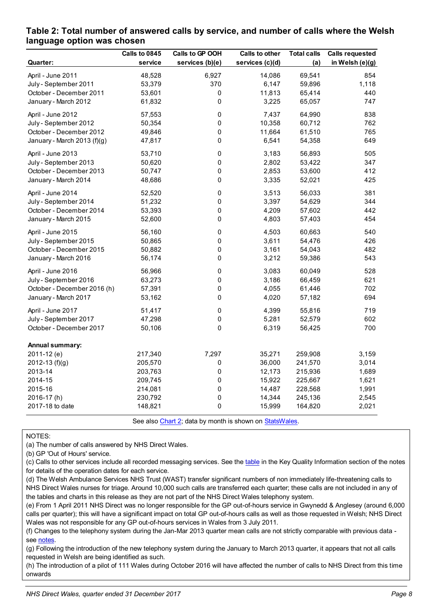|                             | Calls to 0845 | Calls to GP OOH | Calls to other  | <b>Total calls</b> | <b>Calls requested</b> |
|-----------------------------|---------------|-----------------|-----------------|--------------------|------------------------|
| Quarter:                    | service       | services (b)(e) | services (c)(d) | (a)                | in Welsh (e)(g)        |
| April - June 2011           | 48,528        | 6,927           | 14,086          | 69,541             | 854                    |
| July - September 2011       | 53,379        | 370             | 6,147           | 59,896             | 1,118                  |
| October - December 2011     | 53,601        | 0               | 11,813          | 65,414             | 440                    |
| January - March 2012        | 61,832        | 0               | 3,225           | 65,057             | 747                    |
| April - June 2012           | 57,553        | 0               | 7,437           | 64,990             | 838                    |
| July - September 2012       | 50,354        | 0               | 10,358          | 60,712             | 762                    |
| October - December 2012     | 49,846        | 0               | 11,664          | 61,510             | 765                    |
| January - March 2013 (f)(g) | 47,817        | 0               | 6,541           | 54,358             | 649                    |
| April - June 2013           | 53,710        | 0               | 3,183           | 56,893             | 505                    |
| July - September 2013       | 50,620        | 0               | 2,802           | 53,422             | 347                    |
| October - December 2013     | 50,747        | 0               | 2,853           | 53,600             | 412                    |
| January - March 2014        | 48,686        | 0               | 3,335           | 52,021             | 425                    |
| April - June 2014           | 52,520        | 0               | 3,513           | 56,033             | 381                    |
| July - September 2014       | 51,232        | 0               | 3,397           | 54,629             | 344                    |
| October - December 2014     | 53,393        | 0               | 4,209           | 57,602             | 442                    |
| January - March 2015        | 52,600        | 0               | 4,803           | 57,403             | 454                    |
| April - June 2015           | 56,160        | 0               | 4,503           | 60,663             | 540                    |
| July - September 2015       | 50,865        | 0               | 3,611           | 54,476             | 426                    |
| October - December 2015     | 50,882        | 0               | 3,161           | 54,043             | 482                    |
| January - March 2016        | 56,174        | 0               | 3,212           | 59,386             | 543                    |
| April - June 2016           | 56,966        | 0               | 3,083           | 60,049             | 528                    |
| July - September 2016       | 63,273        | 0               | 3,186           | 66,459             | 621                    |
| October - December 2016 (h) | 57,391        | 0               | 4,055           | 61,446             | 702                    |
| January - March 2017        | 53,162        | 0               | 4,020           | 57,182             | 694                    |
| April - June 2017           | 51,417        | 0               | 4,399           | 55,816             | 719                    |
| July - September 2017       | 47,298        | 0               | 5,281           | 52,579             | 602                    |
| October - December 2017     | 50,106        | 0               | 6,319           | 56,425             | 700                    |
| Annual summary:             |               |                 |                 |                    |                        |
| 2011-12 (e)                 | 217,340       | 7,297           | 35,271          | 259,908            | 3,159                  |
| 2012-13 (f)(g)              | 205,570       | 0               | 36,000          | 241,570            | 3,014                  |
| 2013-14                     | 203,763       | 0               | 12,173          | 215,936            | 1,689                  |
| 2014-15                     | 209,745       | 0               | 15,922          | 225,667            | 1,621                  |
| 2015-16                     | 214,081       | 0               | 14,487          | 228,568            | 1,991                  |
| 2016-17(h)                  | 230,792       | 0               | 14,344          | 245,136            | 2,545                  |
| 2017-18 to date             | 148,821       | 0               | 15,999          | 164,820            | 2,021                  |

#### <span id="page-7-0"></span>**Table 2: Total number of answered calls by service, and number of calls where the Welsh language option was chosen**

See als[o Chart 2;](#page-1-0) data by month is shown on [StatsWales.](https://statswales.gov.wales/Catalogue/Health-and-Social-Care/NHS-Primary-and-Community-Activity/NHS-Direct-Wales/CallsAnsweredByNHSDirectWales-by-Service-Month)

#### NOTES:

(a) The number of calls answered by NHS Direct Wales.

(b) GP 'Out of Hours' service.

(c) Calls to other services include all recorded messaging services. See the [table](#page-10-1) in the Key Quality Information section of the notes for details of the operation dates for each service.

(d) The Welsh Ambulance Services NHS Trust (WAST) transfer significant numbers of non immediately life-threatening calls to NHS Direct Wales nurses for triage. Around 10,000 such calls are transferred each quarter; these calls are not included in any of the tables and charts in this release as they are not part of the NHS Direct Wales telephony system.

(e) From 1 April 2011 NHS Direct was no longer responsible for the GP out-of-hours service in Gwynedd & Anglesey (around 6,000 calls per quarter); this will have a significant impact on total GP out-of-hours calls as well as those requested in Welsh; NHS Direct Wales was not responsible for any GP out-of-hours services in Wales from 3 July 2011.

(f) Changes to the telephony system during the Jan-Mar 2013 quarter mean calls are not strictly comparable with previous data see notes.

(g) Following the introduction of the new telephony system during the January to March 2013 quarter, it appears that not all calls requested in Welsh are being identified as such.

(h) The introduction of a pilot of 111 Wales during October 2016 will have affected the number of calls to NHS Direct from this time onwards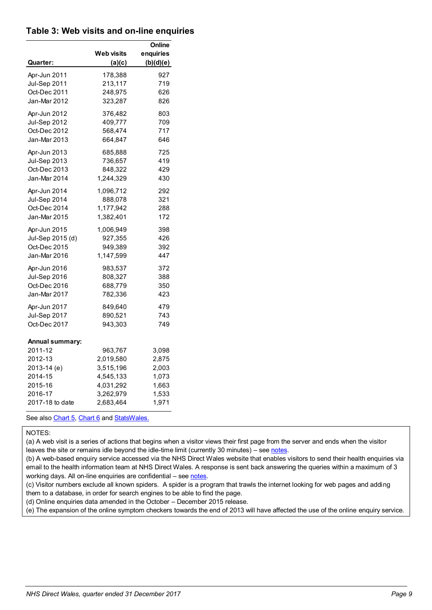#### <span id="page-8-0"></span>**Table 3: Web visits and on-line enquiries**

|                     |                   | Online    |
|---------------------|-------------------|-----------|
|                     | <b>Web visits</b> | enquiries |
| Quarter:            | (a)(c)            | (b)(d)(e) |
| Apr-Jun 2011        | 178,388           | 927       |
| Jul-Sep 2011        | 213,117           | 719       |
| Oct-Dec 2011        | 248,975           | 626       |
| Jan-Mar 2012        | 323,287           | 826       |
| Apr-Jun 2012        | 376,482           | 803       |
| <b>Jul-Sep 2012</b> | 409,777           | 709       |
| Oct-Dec 2012        | 568,474           | 717       |
| Jan-Mar 2013        | 664,847           | 646       |
| Apr-Jun 2013        | 685,888           | 725       |
| <b>Jul-Sep 2013</b> | 736,657           | 419       |
| Oct-Dec 2013        | 848,322           | 429       |
| Jan-Mar 2014        | 1,244,329         | 430       |
| Apr-Jun 2014        | 1,096,712         | 292       |
| <b>Jul-Sep 2014</b> | 888,078           | 321       |
| Oct-Dec 2014        | 1,177,942         | 288       |
| Jan-Mar 2015        | 1,382,401         | 172       |
| Apr-Jun 2015        | 1,006,949         | 398       |
| Jul-Sep 2015 (d)    | 927,355           | 426       |
| Oct-Dec 2015        | 949,389           | 392       |
| Jan-Mar 2016        | 1,147,599         | 447       |
| Apr-Jun 2016        | 983,537           | 372       |
| <b>Jul-Sep 2016</b> | 808,327           | 388       |
| Oct-Dec 2016        | 688,779           | 350       |
| Jan-Mar 2017        | 782,336           | 423       |
| Apr-Jun 2017        | 849,640           | 479       |
| Jul-Sep 2017        | 890,521           | 743       |
| Oct-Dec 2017        | 943,303           | 749       |
| Annual summary:     |                   |           |
| 2011-12             | 963,767           | 3,098     |
| 2012-13             | 2,019,580         | 2,875     |
| 2013-14 (e)         | 3,515,196         | 2,003     |
| 2014-15             | 4,545,133         | 1,073     |
| 2015-16             | 4,031,292         | 1,663     |
| 2016-17             | 3,262,979         | 1,533     |
| 2017-18 to date     | 2,683,464         | 1,971     |

See als[o Chart 5,](#page-3-0) [Chart 6](#page-3-1) an[d StatsWales.](https://statswales.gov.wales/Catalogue/Health-and-Social-Care/NHS-Primary-and-Community-Activity/NHS-Direct-Wales/WebVisitsAndOnlineEnquiries-by-Quarter)

#### NOTES:

(a) A web visit is a series of actions that begins when a visitor views their first page from the server and ends when the visitor leaves the site or remains idle beyond the idle-time limit (currently 30 minutes) – se[e notes.](#page-11-1)

(b) A web-based enquiry service accessed via the NHS Direct Wales website that enables visitors to send their health enquiries via email to the health information team at NHS Direct Wales. A response is sent back answering the queries within a maximum of 3 working days. All on-line enquiries are confidential – se[e notes.](#page-12-0)

(c) Visitor numbers exclude all known spiders. A spider is a program that trawls the internet looking for web pages and adding them to a database, in order for search engines to be able to find the page.

(d) Online enquiries data amended in the October – December 2015 release.

(e) The expansion of the online symptom checkers towards the end of 2013 will have affected the use of the online enquiry service.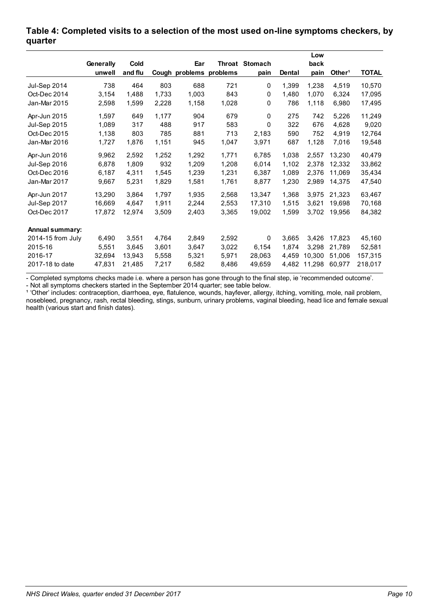|                        |           |             |       |                         |       |                       |               | Low    |                    |              |
|------------------------|-----------|-------------|-------|-------------------------|-------|-----------------------|---------------|--------|--------------------|--------------|
|                        | Generally | <b>Cold</b> |       | Ear                     |       | <b>Throat Stomach</b> |               | back   |                    |              |
|                        | unwell    | and flu     |       | Cough problems problems |       | pain                  | <b>Dental</b> | pain   | Other <sup>1</sup> | <b>TOTAL</b> |
| Jul-Sep 2014           | 738       | 464         | 803   | 688                     | 721   | $\mathbf 0$           | 1,399         | 1,238  | 4,519              | 10,570       |
| Oct-Dec 2014           | 3,154     | 1,488       | 1,733 | 1,003                   | 843   | 0                     | 1,480         | 1.070  | 6,324              | 17,095       |
| Jan-Mar 2015           | 2,598     | 1,599       | 2,228 | 1,158                   | 1,028 | 0                     | 786           | 1,118  | 6.980              | 17,495       |
| Apr-Jun 2015           | 1,597     | 649         | 1,177 | 904                     | 679   | $\Omega$              | 275           | 742    | 5,226              | 11,249       |
| Jul-Sep 2015           | 1,089     | 317         | 488   | 917                     | 583   | $\Omega$              | 322           | 676    | 4,628              | 9,020        |
| Oct-Dec 2015           | 1,138     | 803         | 785   | 881                     | 713   | 2,183                 | 590           | 752    | 4,919              | 12,764       |
| Jan-Mar 2016           | 1,727     | 1,876       | 1,151 | 945                     | 1,047 | 3,971                 | 687           | 1,128  | 7,016              | 19,548       |
| Apr-Jun 2016           | 9,962     | 2,592       | 1,252 | 1,292                   | 1,771 | 6,785                 | 1,038         | 2,557  | 13.230             | 40,479       |
| <b>Jul-Sep 2016</b>    | 6,878     | 1,809       | 932   | 1,209                   | 1,208 | 6,014                 | 1,102         | 2,378  | 12,332             | 33,862       |
| Oct-Dec 2016           | 6,187     | 4,311       | 1,545 | 1,239                   | 1,231 | 6,387                 | 1,089         | 2,376  | 11.069             | 35,434       |
| Jan-Mar 2017           | 9,667     | 5,231       | 1,829 | 1,581                   | 1,761 | 8,877                 | 1,230         | 2,989  | 14,375             | 47,540       |
| Apr-Jun 2017           | 13,290    | 3,864       | 1,797 | 1,935                   | 2,568 | 13,347                | 1,368         | 3,975  | 21,323             | 63,467       |
| Jul-Sep 2017           | 16.669    | 4.647       | 1,911 | 2,244                   | 2.553 | 17,310                | 1,515         | 3,621  | 19.698             | 70,168       |
| Oct-Dec 2017           | 17,872    | 12,974      | 3,509 | 2,403                   | 3,365 | 19,002                | 1,599         | 3,702  | 19,956             | 84,382       |
| <b>Annual summary:</b> |           |             |       |                         |       |                       |               |        |                    |              |
| 2014-15 from July      | 6,490     | 3,551       | 4,764 | 2,849                   | 2,592 | $\mathbf 0$           | 3,665         | 3,426  | 17.823             | 45,160       |
| 2015-16                | 5,551     | 3,645       | 3,601 | 3,647                   | 3,022 | 6,154                 | 1,874         | 3,298  | 21,789             | 52,581       |
| 2016-17                | 32,694    | 13,943      | 5,558 | 5,321                   | 5,971 | 28,063                | 4.459         | 10.300 | 51.006             | 157,315      |
| 2017-18 to date        | 47,831    | 21,485      | 7,217 | 6,582                   | 8.486 | 49,659                | 4.482         | 11.298 | 60.977             | 218,017      |

#### <span id="page-9-1"></span>**Table 4: Completed visits to a selection of the most used on-line symptoms checkers, by quarter**

- Completed symptoms checks made i.e. where a person has gone through to the final step, ie 'recommended outcome'. - Not all symptoms checkers started in the September 2014 quarter; see table below.

<span id="page-9-0"></span><sup>1</sup> 'Other' includes: contraception, diarrhoea, eye, flatulence, wounds, hayfever, allergy, itching, vomiting, mole, nail problem, nosebleed, pregnancy, rash, rectal bleeding, stings, sunburn, urinary problems, vaginal bleeding, head lice and female sexual health (various start and finish dates).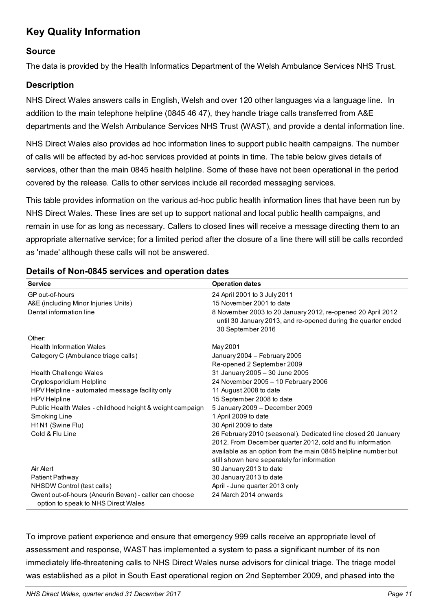# <span id="page-10-0"></span>**Key Quality Information**

#### **Source**

The data is provided by the Health Informatics Department of the Welsh Ambulance Services NHS Trust.

## **Description**

NHS Direct Wales answers calls in English, Welsh and over 120 other languages via a language line. In addition to the main telephone helpline (0845 46 47), they handle triage calls transferred from A&E departments and the Welsh Ambulance Services NHS Trust (WAST), and provide a dental information line.

NHS Direct Wales also provides ad hoc information lines to support public health campaigns. The number of calls will be affected by ad-hoc services provided at points in time. The table below gives details of services, other than the main 0845 health helpline. Some of these have not been operational in the period covered by the release. Calls to other services include all recorded messaging services.

This table provides information on the various ad-hoc public health information lines that have been run by NHS Direct Wales. These lines are set up to support national and local public health campaigns, and remain in use for as long as necessary. Callers to closed lines will receive a message directing them to an appropriate alternative service; for a limited period after the closure of a line there will still be calls recorded as 'made' although these calls will not be answered.

| <b>Service</b>                                           | <b>Operation dates</b>                                        |
|----------------------------------------------------------|---------------------------------------------------------------|
| GP out-of-hours                                          | 24 April 2001 to 3 July 2011                                  |
| A&E (including Minor Injuries Units)                     | 15 November 2001 to date                                      |
| Dental information line                                  | 8 November 2003 to 20 January 2012, re-opened 20 April 2012   |
|                                                          | until 30 January 2013, and re-opened during the quarter ended |
|                                                          | 30 September 2016                                             |
| Other:                                                   |                                                               |
| <b>Health Information Wales</b>                          | May 2001                                                      |
| Category C (Ambulance triage calls)                      | January 2004 - February 2005                                  |
|                                                          | Re-opened 2 September 2009                                    |
| Health Challenge Wales                                   | 31 January 2005 - 30 June 2005                                |
| Cryptosporidium Helpline                                 | 24 November 2005 - 10 February 2006                           |
| HPV Helpline - automated message facility only           | 11 August 2008 to date                                        |
| <b>HPV</b> Helpline                                      | 15 September 2008 to date                                     |
| Public Health Wales - childhood height & weight campaign | 5 January 2009 - December 2009                                |
| Smoking Line                                             | 1 April 2009 to date                                          |
| H <sub>1</sub> N <sub>1</sub> (Swine Flu)                | 30 April 2009 to date                                         |
| Cold & Flu Line                                          | 26 February 2010 (seasonal). Dedicated line closed 20 January |
|                                                          | 2012. From December quarter 2012, cold and flu information    |
|                                                          | available as an option from the main 0845 helpline number but |
|                                                          | still shown here separately for information                   |
| Air Alert                                                | 30 January 2013 to date                                       |
| Patient Pathway                                          | 30 January 2013 to date                                       |
| NHSDW Control (test calls)                               | April - June quarter 2013 only                                |
| Gwent out-of-hours (Aneurin Bevan) - caller can choose   | 24 March 2014 onwards                                         |
| option to speak to NHS Direct Wales                      |                                                               |

#### <span id="page-10-1"></span>**Details of Non-0845 services and operation dates**

To improve patient experience and ensure that emergency 999 calls receive an appropriate level of assessment and response, WAST has implemented a system to pass a significant number of its non immediately life-threatening calls to NHS Direct Wales nurse advisors for clinical triage. The triage model was established as a pilot in South East operational region on 2nd September 2009, and phased into the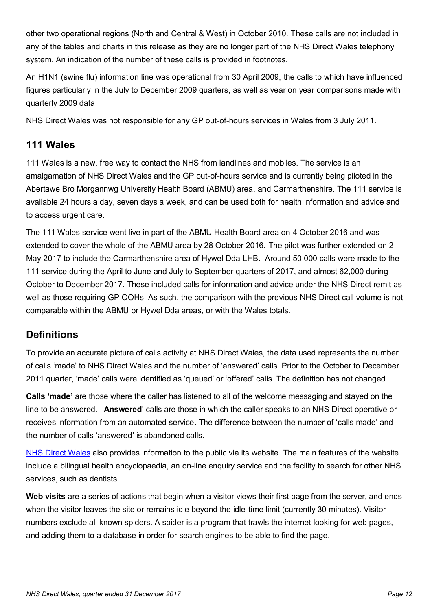other two operational regions (North and Central & West) in October 2010. These calls are not included in any of the tables and charts in this release as they are no longer part of the NHS Direct Wales telephony system. An indication of the number of these calls is provided in footnotes.

An H1N1 (swine flu) information line was operational from 30 April 2009, the calls to which have influenced figures particularly in the July to December 2009 quarters, as well as year on year comparisons made with quarterly 2009 data.

NHS Direct Wales was not responsible for any GP out-of-hours services in Wales from 3 July 2011.

## <span id="page-11-0"></span>**111 Wales**

111 Wales is a new, free way to contact the NHS from landlines and mobiles. The service is an amalgamation of NHS Direct Wales and the GP out-of-hours service and is currently being piloted in the Abertawe Bro Morgannwg University Health Board (ABMU) area, and Carmarthenshire. The 111 service is available 24 hours a day, seven days a week, and can be used both for health information and advice and to access urgent care.

The 111 Wales service went live in part of the ABMU Health Board area on 4 October 2016 and was extended to cover the whole of the ABMU area by 28 October 2016. The pilot was further extended on 2 May 2017 to include the Carmarthenshire area of Hywel Dda LHB. Around 50,000 calls were made to the 111 service during the April to June and July to September quarters of 2017, and almost 62,000 during October to December 2017. These included calls for information and advice under the NHS Direct remit as well as those requiring GP OOHs. As such, the comparison with the previous NHS Direct call volume is not comparable within the ABMU or Hywel Dda areas, or with the Wales totals.

## **Definitions**

To provide an accurate picture of calls activity at NHS Direct Wales, the data used represents the number of calls 'made' to NHS Direct Wales and the number of 'answered' calls. Prior to the October to December 2011 quarter, 'made' calls were identified as 'queued' or 'offered' calls. The definition has not changed.

**Calls 'made'** are those where the caller has listened to all of the welcome messaging and stayed on the line to be answered. '**Answered**' calls are those in which the caller speaks to an NHS Direct operative or receives information from an automated service. The difference between the number of 'calls made' and the number of calls 'answered' is abandoned calls.

[NHS Direct Wales](http://www.nhsdirect.wales.nhs.uk/) also provides information to the public via its website. The main features of the website include a bilingual health encyclopaedia, an on-line enquiry service and the facility to search for other NHS services, such as dentists.

<span id="page-11-1"></span>**Web visits** are a series of actions that begin when a visitor views their first page from the server, and ends when the visitor leaves the site or remains idle beyond the idle-time limit (currently 30 minutes). Visitor numbers exclude all known spiders. A spider is a program that trawls the internet looking for web pages, and adding them to a database in order for search engines to be able to find the page.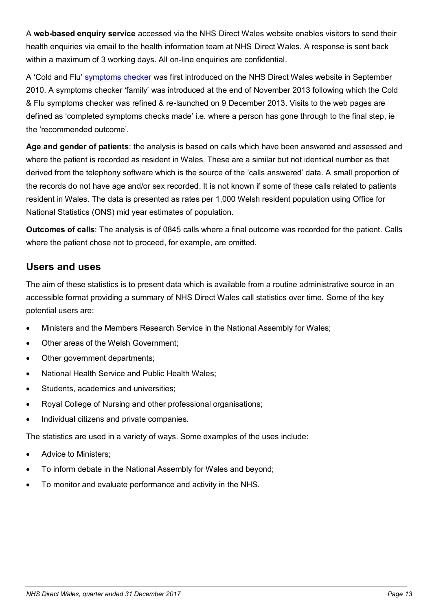<span id="page-12-0"></span>A **web-based enquiry service** accessed via the NHS Direct Wales website enables visitors to send their health enquiries via email to the health information team at NHS Direct Wales. A response is sent back within a maximum of 3 working days. All on-line enquiries are confidential.

A 'Cold and Flu' [symptoms checker](http://www.nhsdirect.wales.nhs.uk/selfassessments/) was first introduced on the NHS Direct Wales website in September 2010. A symptoms checker 'family' was introduced at the end of November 2013 following which the Cold & Flu symptoms checker was refined & re-launched on 9 December 2013. Visits to the web pages are defined as 'completed symptoms checks made' i.e. where a person has gone through to the final step, ie the 'recommended outcome'.

**Age and gender of patients**: the analysis is based on calls which have been answered and assessed and where the patient is recorded as resident in Wales. These are a similar but not identical number as that derived from the telephony software which is the source of the 'calls answered' data. A small proportion of the records do not have age and/or sex recorded. It is not known if some of these calls related to patients resident in Wales. The data is presented as rates per 1,000 Welsh resident population using Office for National Statistics (ONS) mid year estimates of population.

**Outcomes of calls**: The analysis is of 0845 calls where a final outcome was recorded for the patient. Calls where the patient chose not to proceed, for example, are omitted.

## **Users and uses**

The aim of these statistics is to present data which is available from a routine administrative source in an accessible format providing a summary of NHS Direct Wales call statistics over time. Some of the key potential users are:

- Ministers and the Members Research Service in the National Assembly for Wales;
- Other areas of the Welsh Government;
- Other government departments;
- National Health Service and Public Health Wales;
- Students, academics and universities;
- Royal College of Nursing and other professional organisations;
- Individual citizens and private companies.

The statistics are used in a variety of ways. Some examples of the uses include:

- Advice to Ministers;
- To inform debate in the National Assembly for Wales and beyond;
- To monitor and evaluate performance and activity in the NHS.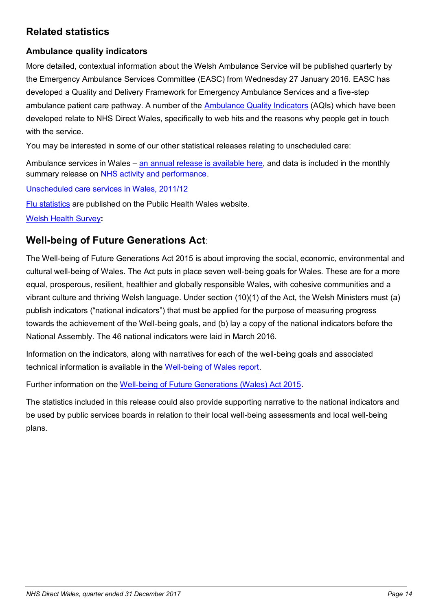# **Related statistics**

## **Ambulance quality indicators**

More detailed, contextual information about the Welsh Ambulance Service will be published quarterly by the Emergency Ambulance Services Committee (EASC) from Wednesday 27 January 2016. EASC has developed a Quality and Delivery Framework for Emergency Ambulance Services and a five-step ambulance patient care pathway. A number of the [Ambulance Quality Indicators](http://www.wales.nhs.uk/easc/ambulance-quality-indicators) (AQIs) which have been developed relate to NHS Direct Wales, specifically to web hits and the reasons why people get in touch with the service.

You may be interested in some of our other statistical releases relating to unscheduled care:

Ambulance services in Wales – [an annual release is available here,](http://gov.wales/statistics-and-research/ambulance-services/?lang=en) and data is included in the monthly summary release on [NHS activity and performance.](http://gov.wales/statistics-and-research/nhs-activity-performance-summary/?lang=en)

[Unscheduled care services in Wales, 2011/12](http://gov.wales/statistics-and-research/unscheduled-care-services/?lang=en)

[Flu statistics](http://www.wales.nhs.uk/sites3/page.cfm?orgId=457&pid=27522) are published on the Public Health Wales website.

[Welsh Health Survey](http://gov.wales/statistics-and-research/welsh-health-survey/?lang=en)**:**

## **Well-being of Future Generations Act**:

The Well-being of Future Generations Act 2015 is about improving the social, economic, environmental and cultural well-being of Wales. The Act puts in place seven well-being goals for Wales. These are for a more equal, prosperous, resilient, healthier and globally responsible Wales, with cohesive communities and a vibrant culture and thriving Welsh language. Under section (10)(1) of the Act, the Welsh Ministers must (a) publish indicators ("national indicators") that must be applied for the purpose of measuring progress towards the achievement of the Well-being goals, and (b) lay a copy of the national indicators before the National Assembly. The 46 national indicators were laid in March 2016.

Information on the indicators, along with narratives for each of the well-being goals and associated technical information is available in the [Well-being of Wales report.](http://gov.wales/statistics-and-research/well-being-wales/?lang=en)

Further information on the [Well-being of Future Generations \(Wales\) Act 2015.](http://gov.wales/topics/people-and-communities/people/future-generations-act)

The statistics included in this release could also provide supporting narrative to the national indicators and be used by public services boards in relation to their local well-being assessments and local well-being plans.